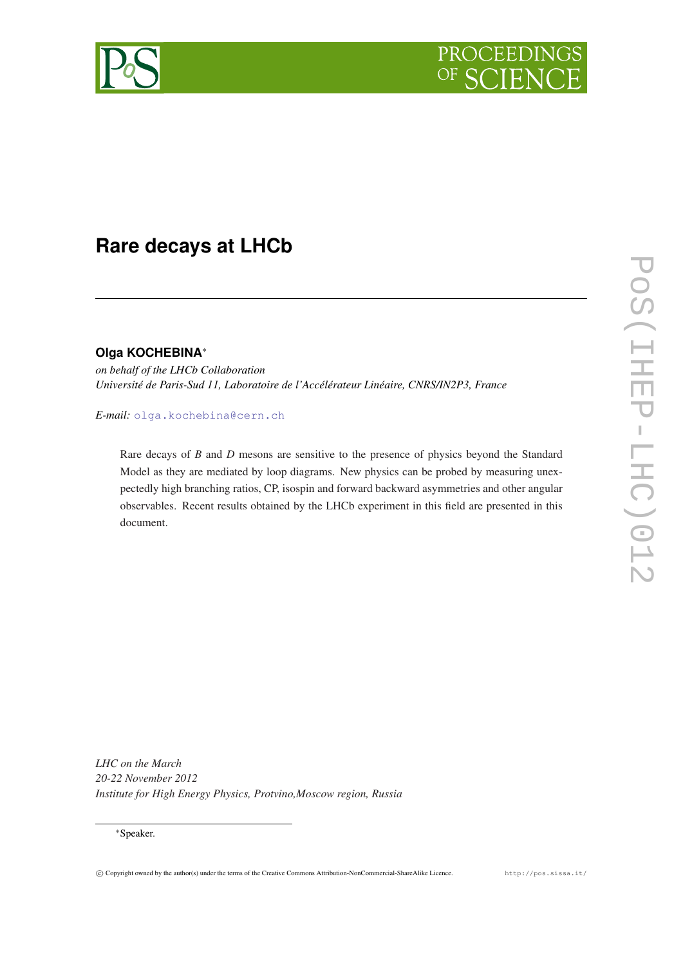

# **Rare decays at LHCb**

#### **Olga KOCHEBINA**<sup>∗</sup>

*on behalf of the LHCb Collaboration Université de Paris-Sud 11, Laboratoire de l'Accélérateur Linéaire, CNRS/IN2P3, France*

*E-mail:* [olga.kochebina@cern.ch](mailto:olga.kochebina@cern.ch)

Rare decays of *B* and *D* mesons are sensitive to the presence of physics beyond the Standard Model as they are mediated by loop diagrams. New physics can be probed by measuring unexpectedly high branching ratios, CP, isospin and forward backward asymmetries and other angular observables. Recent results obtained by the LHCb experiment in this field are presented in this document.

*LHC on the March 20-22 November 2012 Institute for High Energy Physics, Protvino,Moscow region, Russia*

#### <sup>∗</sup>Speaker.

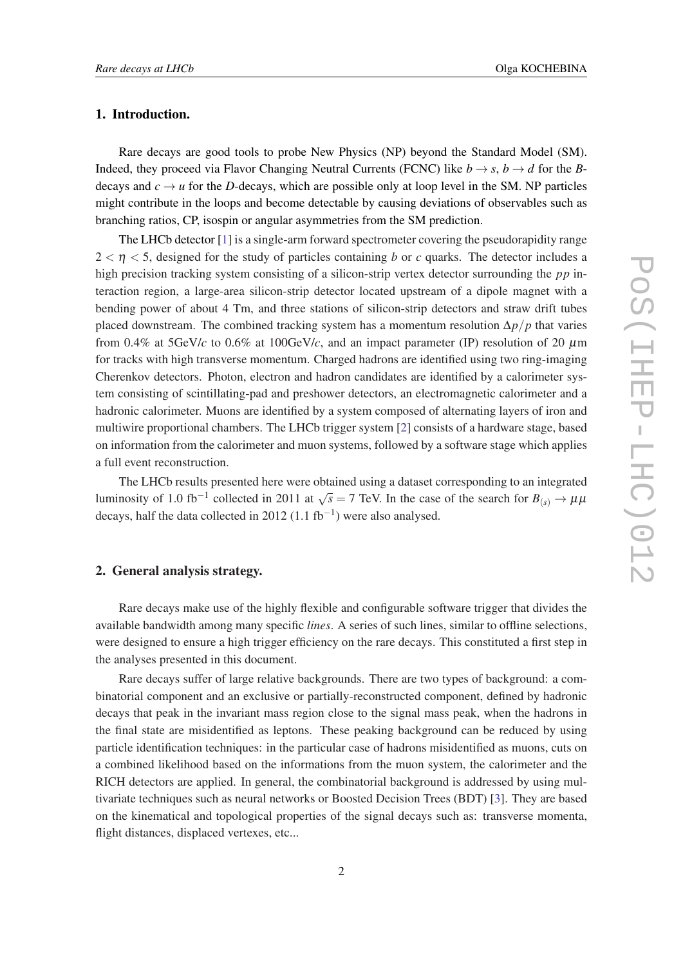#### 1. Introduction.

Rare decays are good tools to probe New Physics (NP) beyond the Standard Model (SM). Indeed, they proceed via Flavor Changing Neutral Currents (FCNC) like  $b \rightarrow s$ ,  $b \rightarrow d$  for the *B*decays and  $c \rightarrow u$  for the *D*-decays, which are possible only at loop level in the SM. NP particles might contribute in the loops and become detectable by causing deviations of observables such as branching ratios, CP, isospin or angular asymmetries from the SM prediction.

The LHCb detector [\[1\]](#page-6-0) is a single-arm forward spectrometer covering the pseudorapidity range  $2 < \eta < 5$ , designed for the study of particles containing *b* or *c* quarks. The detector includes a high precision tracking system consisting of a silicon-strip vertex detector surrounding the *pp* interaction region, a large-area silicon-strip detector located upstream of a dipole magnet with a bending power of about 4 Tm, and three stations of silicon-strip detectors and straw drift tubes placed downstream. The combined tracking system has a momentum resolution ∆*p*/*p* that varies from 0.4% at 5GeV/*c* to 0.6% at 100GeV/*c*, and an impact parameter (IP) resolution of 20  $\mu$ m for tracks with high transverse momentum. Charged hadrons are identified using two ring-imaging Cherenkov detectors. Photon, electron and hadron candidates are identified by a calorimeter system consisting of scintillating-pad and preshower detectors, an electromagnetic calorimeter and a hadronic calorimeter. Muons are identified by a system composed of alternating layers of iron and multiwire proportional chambers. The LHCb trigger system [\[2\]](#page-6-0) consists of a hardware stage, based on information from the calorimeter and muon systems, followed by a software stage which applies a full event reconstruction.

The LHCb results presented here were obtained using a dataset corresponding to an integrated luminosity of 1.0 fb<sup>-1</sup> collected in 2011 at  $\sqrt{s} = 7$  TeV. In the case of the search for  $B_{(s)} \to \mu\mu$ decays, half the data collected in 2012 (1.1  $fb^{-1}$ ) were also analysed.

#### 2. General analysis strategy.

Rare decays make use of the highly flexible and configurable software trigger that divides the available bandwidth among many specific *lines*. A series of such lines, similar to offline selections, were designed to ensure a high trigger efficiency on the rare decays. This constituted a first step in the analyses presented in this document.

Rare decays suffer of large relative backgrounds. There are two types of background: a combinatorial component and an exclusive or partially-reconstructed component, defined by hadronic decays that peak in the invariant mass region close to the signal mass peak, when the hadrons in the final state are misidentified as leptons. These peaking background can be reduced by using particle identification techniques: in the particular case of hadrons misidentified as muons, cuts on a combined likelihood based on the informations from the muon system, the calorimeter and the RICH detectors are applied. In general, the combinatorial background is addressed by using multivariate techniques such as neural networks or Boosted Decision Trees (BDT) [\[3](#page-6-0)]. They are based on the kinematical and topological properties of the signal decays such as: transverse momenta, flight distances, displaced vertexes, etc...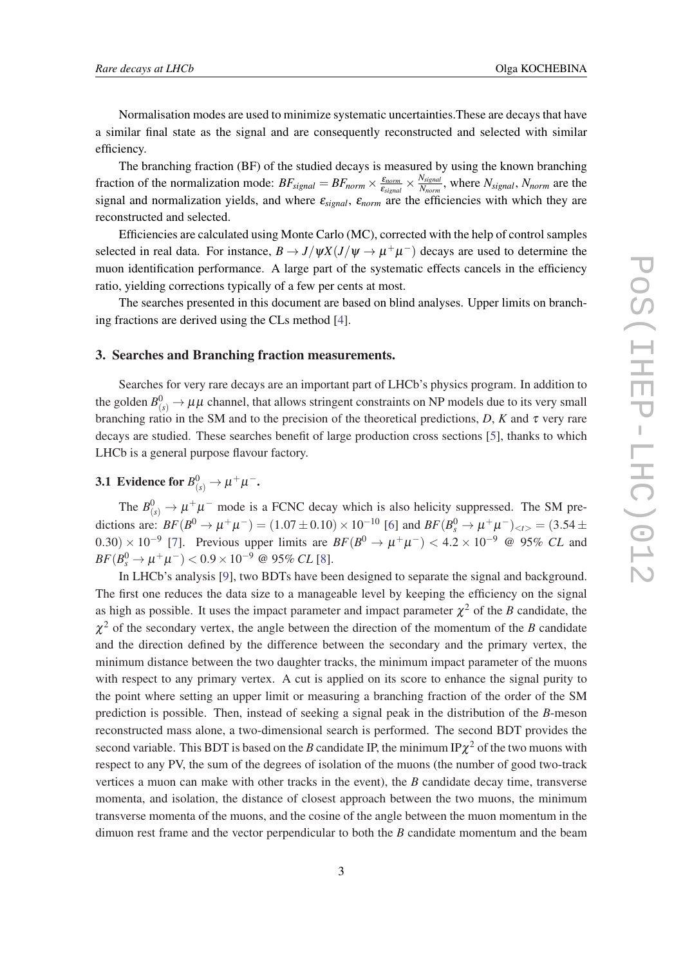Normalisation modes are used to minimize systematic uncertainties.These are decays that have a similar final state as the signal and are consequently reconstructed and selected with similar efficiency.

The branching fraction (BF) of the studied decays is measured by using the known branching fraction of the normalization mode:  $BF_{signal} = BF_{norm} \times \frac{E_{norm}}{E_{cimer}}$  $\frac{\varepsilon_{norm}}{\varepsilon_{signal}} \times \frac{N_{signal}}{N_{norm}}$ *Nnorm* , where *Nsignal*, *Nnorm* are the signal and normalization yields, and where ε*signal*, ε*norm* are the efficiencies with which they are reconstructed and selected.

Efficiencies are calculated using Monte Carlo (MC), corrected with the help of control samples selected in real data. For instance,  $B \to J/\psi X (J/\psi \to \mu^+ \mu^-)$  decays are used to determine the muon identification performance. A large part of the systematic effects cancels in the efficiency ratio, yielding corrections typically of a few per cents at most.

The searches presented in this document are based on blind analyses. Upper limits on branching fractions are derived using the CLs method [\[4\]](#page-6-0).

#### 3. Searches and Branching fraction measurements.

Searches for very rare decays are an important part of LHCb's physics program. In addition to the golden  $B^0_{(s)}\to \mu\mu$  channel, that allows stringent constraints on NP models due to its very small branching ratio in the SM and to the precision of the theoretical predictions,  $D$ ,  $K$  and  $\tau$  very rare decays are studied. These searches benefit of large production cross sections [\[5\]](#page-6-0), thanks to which LHCb is a general purpose flavour factory.

## 3.1 Evidence for  $B^0_{(s)} \to \mu^+ \mu^-.$

The  $B^0_{(s)} \to \mu^+ \mu^-$  mode is a FCNC decay which is also helicity suppressed. The SM predictions are:  $BF(B^0 \to \mu^+\mu^-) = (1.07 \pm 0.10) \times 10^{-10}$  [[6\]](#page-6-0) and  $BF(B^0_s \to \mu^+\mu^-)_{\lt t>} = (3.54 \pm 0.10)$ 0.30) × 10<sup>-9</sup> [[7](#page-6-0)]. Previous upper limits are  $BF(B^0 \to \mu^+\mu^-)$  < 4.2 × 10<sup>-9</sup> @ 95% *CL* and  $BF(B_s^0 \to \mu^+ \mu^-) < 0.9 \times 10^{-9}$  @ 95% *CL* [\[8\]](#page-6-0).

In LHCb's analysis [\[9\]](#page-6-0), two BDTs have been designed to separate the signal and background. The first one reduces the data size to a manageable level by keeping the efficiency on the signal as high as possible. It uses the impact parameter and impact parameter  $\chi^2$  of the *B* candidate, the  $\chi^2$  of the secondary vertex, the angle between the direction of the momentum of the *B* candidate and the direction defined by the difference between the secondary and the primary vertex, the minimum distance between the two daughter tracks, the minimum impact parameter of the muons with respect to any primary vertex. A cut is applied on its score to enhance the signal purity to the point where setting an upper limit or measuring a branching fraction of the order of the SM prediction is possible. Then, instead of seeking a signal peak in the distribution of the *B*-meson reconstructed mass alone, a two-dimensional search is performed. The second BDT provides the second variable. This BDT is based on the *B* candidate IP, the minimum IP $\chi^2$  of the two muons with respect to any PV, the sum of the degrees of isolation of the muons (the number of good two-track vertices a muon can make with other tracks in the event), the *B* candidate decay time, transverse momenta, and isolation, the distance of closest approach between the two muons, the minimum transverse momenta of the muons, and the cosine of the angle between the muon momentum in the dimuon rest frame and the vector perpendicular to both the *B* candidate momentum and the beam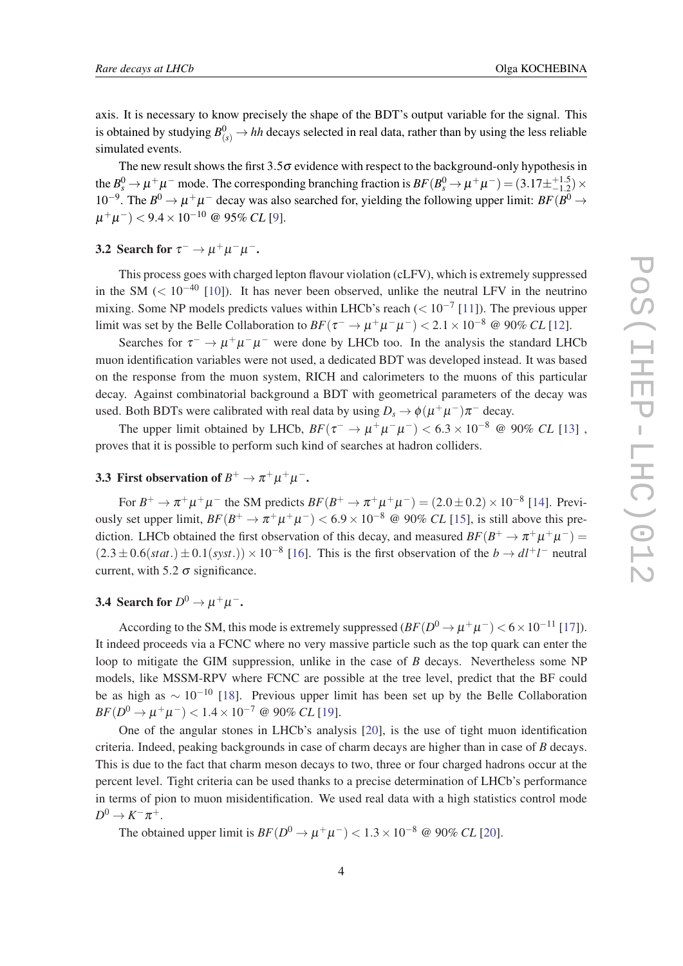axis. It is necessary to know precisely the shape of the BDT's output variable for the signal. This is obtained by studying  $B^0_{(s)} \to hh$  decays selected in real data, rather than by using the less reliable simulated events.

The new result shows the first  $3.5\sigma$  evidence with respect to the background-only hypothesis in the  $B_s^0 \to \mu^+\mu^-$  mode. The corresponding branching fraction is  $BF(B_s^0 \to \mu^+\mu^-) = (3.17 \pm^{+1.5}_{-1.2}) \times$ 10<sup>-9</sup>. The  $B^0 \to \mu^+\mu^-$  decay was also searched for, yielding the following upper limit: *BF*( $B^0 \to$ µ +µ <sup>−</sup>) < 9.4×10−<sup>10</sup> @ 95% *CL* [[9](#page-6-0)].

## 3.2 Search for  $\tau^- \to \mu^+ \mu^- \mu^-$ .

This process goes with charged lepton flavour violation (cLFV), which is extremely suppressed in the SM ( $< 10^{-40}$  [[10\]](#page-6-0)). It has never been observed, unlike the neutral LFV in the neutrino mixing. Some NP models predicts values within LHCb's reach ( $< 10^{-7}$  [\[11](#page-6-0)]). The previous upper limit was set by the Belle Collaboration to  $BF(\tau^- \to \mu^+ \mu^- \mu^-) < 2.1 \times 10^{-8}$  @ 90% *CL* [[12\]](#page-6-0).

Searches for  $\tau^- \to \mu^+ \mu^- \mu^-$  were done by LHCb too. In the analysis the standard LHCb muon identification variables were not used, a dedicated BDT was developed instead. It was based on the response from the muon system, RICH and calorimeters to the muons of this particular decay. Against combinatorial background a BDT with geometrical parameters of the decay was used. Both BDTs were calibrated with real data by using  $D_s \to \phi(\mu^+\mu^-)\pi^-$  decay.

The upper limit obtained by LHCb,  $BF(\tau^- \to \mu^+ \mu^- \mu^-) < 6.3 \times 10^{-8}$  @ 90% *CL* [[13](#page-6-0)], proves that it is possible to perform such kind of searches at hadron colliders.

## 3.3 First observation of  $B^+ \to \pi^+ \mu^+ \mu^-$ .

For  $B^+ \to \pi^+ \mu^+ \mu^-$  the SM predicts  $BF(B^+ \to \pi^+ \mu^+ \mu^-) = (2.0 \pm 0.2) \times 10^{-8}$  [\[14](#page-6-0)]. Previously set upper limit,  $BF(B^+ \to \pi^+\mu^+\mu^-) < 6.9 \times 10^{-8}$  @ 90% *CL* [[15\]](#page-6-0), is still above this prediction. LHCb obtained the first observation of this decay, and measured  $BF(B^+ \to \pi^+ \mu^+ \mu^-)$  $(2.3 \pm 0.6(stat.) \pm 0.1(syst.)) \times 10^{-8}$  [\[16](#page-7-0)]. This is the first observation of the *b*  $\rightarrow dl^{+}l^{-}$  neutral current, with 5.2  $\sigma$  significance.

## 3.4 Search for  $D^0 \to \mu^+\mu^-$ .

According to the SM, this mode is extremely suppressed  $(BF(D^0 \to \mu^+ \mu^-) < 6 \times 10^{-11}$  [\[17\]](#page-7-0)). It indeed proceeds via a FCNC where no very massive particle such as the top quark can enter the loop to mitigate the GIM suppression, unlike in the case of *B* decays. Nevertheless some NP models, like MSSM-RPV where FCNC are possible at the tree level, predict that the BF could be as high as  $\sim 10^{-10}$  [\[18\]](#page-7-0). Previous upper limit has been set up by the Belle Collaboration  $BF(D^0 \rightarrow \mu^+ \mu^-) < 1.4 \times 10^{-7}$  @ 90% *CL* [\[19](#page-7-0)].

One of the angular stones in LHCb's analysis [[20\]](#page-7-0), is the use of tight muon identification criteria. Indeed, peaking backgrounds in case of charm decays are higher than in case of *B* decays. This is due to the fact that charm meson decays to two, three or four charged hadrons occur at the percent level. Tight criteria can be used thanks to a precise determination of LHCb's performance in terms of pion to muon misidentification. We used real data with a high statistics control mode  $D^0 \to K^- \pi^+.$ 

The obtained upper limit is  $BF(D^0 \to \mu^+ \mu^-) < 1.3 \times 10^{-8}$  @ 90% *CL* [[20\]](#page-7-0).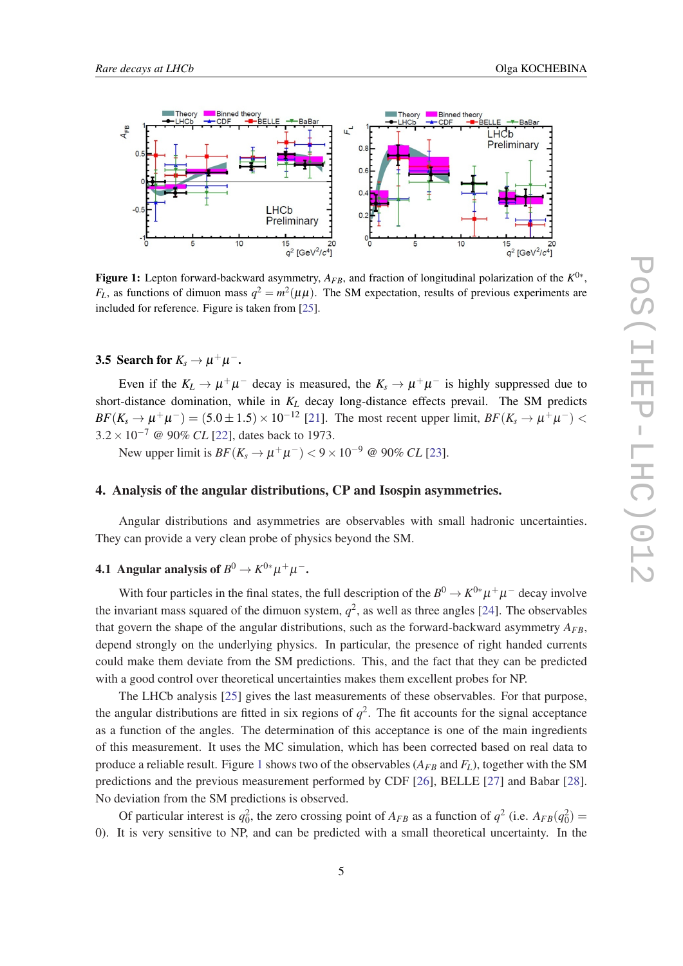

Figure 1: Lepton forward-backward asymmetry, *AFB*, and fraction of longitudinal polarization of the *K* 0∗ ,  $F_L$ , as functions of dimuon mass  $q^2 = m^2(\mu\mu)$ . The SM expectation, results of previous experiments are included for reference. Figure is taken from [[25\]](#page-7-0).

## 3.5 Search for  $K_s \to \mu^+ \mu^-$ .

Even if the  $K_L \to \mu^+\mu^-$  decay is measured, the  $K_s \to \mu^+\mu^-$  is highly suppressed due to short-distance domination, while in *K<sup>L</sup>* decay long-distance effects prevail. The SM predicts  $BF(K_s \to \mu^+\mu^-) = (5.0 \pm 1.5) \times 10^{-12}$  [[21\]](#page-7-0). The most recent upper limit,  $BF(K_s \to \mu^+\mu^-)$  < 3.2×10−<sup>7</sup> @ 90% *CL* [\[22\]](#page-7-0), dates back to 1973.

New upper limit is  $BF(K_s \to \mu^+ \mu^-) < 9 \times 10^{-9}$  @ 90% *CL* [[23](#page-7-0)].

#### 4. Analysis of the angular distributions, CP and Isospin asymmetries.

Angular distributions and asymmetries are observables with small hadronic uncertainties. They can provide a very clean probe of physics beyond the SM.

## 4.1 Angular analysis of  $B^0\to K^{0*}\mu^+\mu^-$ .

With four particles in the final states, the full description of the  $B^0 \to K^{0*} \mu^+ \mu^-$  decay involve the invariant mass squared of the dimuon system,  $q^2$ , as well as three angles [\[24](#page-7-0)]. The observables that govern the shape of the angular distributions, such as the forward-backward asymmetry  $A_{FB}$ , depend strongly on the underlying physics. In particular, the presence of right handed currents could make them deviate from the SM predictions. This, and the fact that they can be predicted with a good control over theoretical uncertainties makes them excellent probes for NP.

The LHCb analysis [\[25](#page-7-0)] gives the last measurements of these observables. For that purpose, the angular distributions are fitted in six regions of  $q^2$ . The fit accounts for the signal acceptance as a function of the angles. The determination of this acceptance is one of the main ingredients of this measurement. It uses the MC simulation, which has been corrected based on real data to produce a reliable result. Figure 1 shows two of the observables  $(A_{FB}$  and  $F_L$ ), together with the SM predictions and the previous measurement performed by CDF [[26](#page-7-0)], BELLE [[27\]](#page-7-0) and Babar [[28\]](#page-7-0). No deviation from the SM predictions is observed.

Of particular interest is  $q_0^2$ , the zero crossing point of  $A_{FB}$  as a function of  $q^2$  (i.e.  $A_{FB}(q_0^2)$ ) 0). It is very sensitive to NP, and can be predicted with a small theoretical uncertainty. In the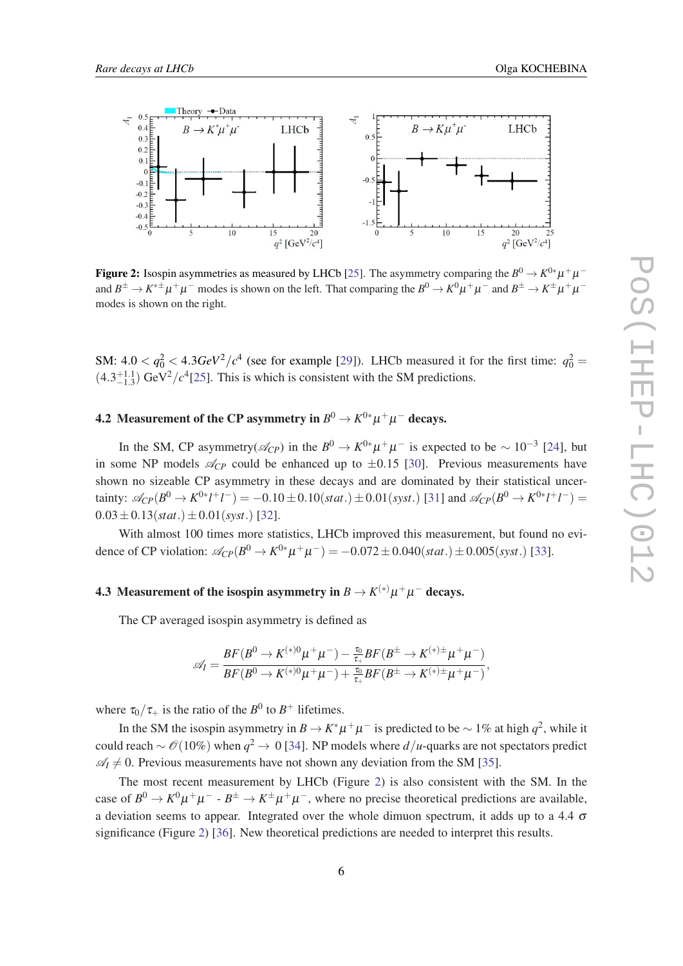

**Figure 2:** Isospin asymmetries as measured by LHCb [\[25](#page-7-0)]. The asymmetry comparing the  $B^0 \to K^{0*} \mu^+ \mu^$ and  $B^{\pm} \to K^{*\pm} \mu^+ \mu^-$  modes is shown on the left. That comparing the  $B^0 \to K^0 \mu^+ \mu^-$  and  $B^{\pm} \to K^{\pm} \mu^+ \mu^$ modes is shown on the right.

SM:  $4.0 < q_0^2 < 4.3 GeV^2/c^4$  (see for example [[29\]](#page-7-0)). LHCb measured it for the first time:  $q_0^2 =$  $(4.3^{+1.1}_{-1.3})$  GeV<sup>2</sup>/ $c^4$ [[25\]](#page-7-0). This is which is consistent with the SM predictions.

## 4.2 Measurement of the CP asymmetry in  $B^0\to K^{0*}\mu^+\mu^-$  decays.

In the SM, CP asymmetry( $\mathcal{A}_{CP}$ ) in the  $B^0 \to K^{0*} \mu^+ \mu^-$  is expected to be  $\sim 10^{-3}$  [[24\]](#page-7-0), but in some NP models  $\mathcal{A}_{CP}$  could be enhanced up to  $\pm 0.15$  [\[30](#page-7-0)]. Previous measurements have shown no sizeable CP asymmetry in these decays and are dominated by their statistical uncertainty:  $\mathcal{A}_{CP}(B^0 \to K^{0*}l^+l^-) = -0.10 \pm 0.10(stat.) \pm 0.01(syst.)$  [\[31](#page-7-0)] and  $\mathcal{A}_{CP}(B^0 \to K^{0*}l^+l^-) =$  $0.03 \pm 0.13(stat.) \pm 0.01(syst.)$  [\[32](#page-7-0)].

With almost 100 times more statistics, LHCb improved this measurement, but found no evidence of CP violation:  $\mathcal{A}_{CP}(B^0 \to K^{0*} \mu^+ \mu^-) = -0.072 \pm 0.040(stat.) \pm 0.005(syst.)$  [\[33\]](#page-7-0).

## 4.3 Measurement of the isospin asymmetry in  $B \to K^{(*)} \mu^+ \mu^-$  decays.

The CP averaged isospin asymmetry is defined as

$$
\mathscr{A}_I = \frac{BF(B^0 \to K^{(*)0} \mu^+ \mu^-) - \frac{\tau_0}{\tau_+} BF(B^\pm \to K^{(*)\pm} \mu^+ \mu^-)}{BF(B^0 \to K^{(*)0} \mu^+ \mu^-) + \frac{\tau_0}{\tau_+} BF(B^\pm \to K^{(*)\pm} \mu^+ \mu^-)},
$$

where  $\tau_0/\tau_+$  is the ratio of the  $B^0$  to  $B^+$  lifetimes.

In the SM the isospin asymmetry in  $B \to K^* \mu^+ \mu^-$  is predicted to be  $\sim 1\%$  at high  $q^2$ , while it could reach  $\sim$  ⊘(10%) when  $q^2$  → 0 [[34](#page-7-0)]. NP models where  $d/u$ -quarks are not spectators predict  $\mathscr{A}_I \neq 0$ . Previous measurements have not shown any deviation from the SM [\[35](#page-7-0)].

The most recent measurement by LHCb (Figure 2) is also consistent with the SM. In the case of  $B^0 \to K^0 \mu^+ \mu^-$  -  $B^{\pm} \to K^{\pm} \mu^+ \mu^-$ , where no precise theoretical predictions are available, a deviation seems to appear. Integrated over the whole dimuon spectrum, it adds up to a 4.4  $\sigma$ significance (Figure 2) [\[36](#page-7-0)]. New theoretical predictions are needed to interpret this results.

6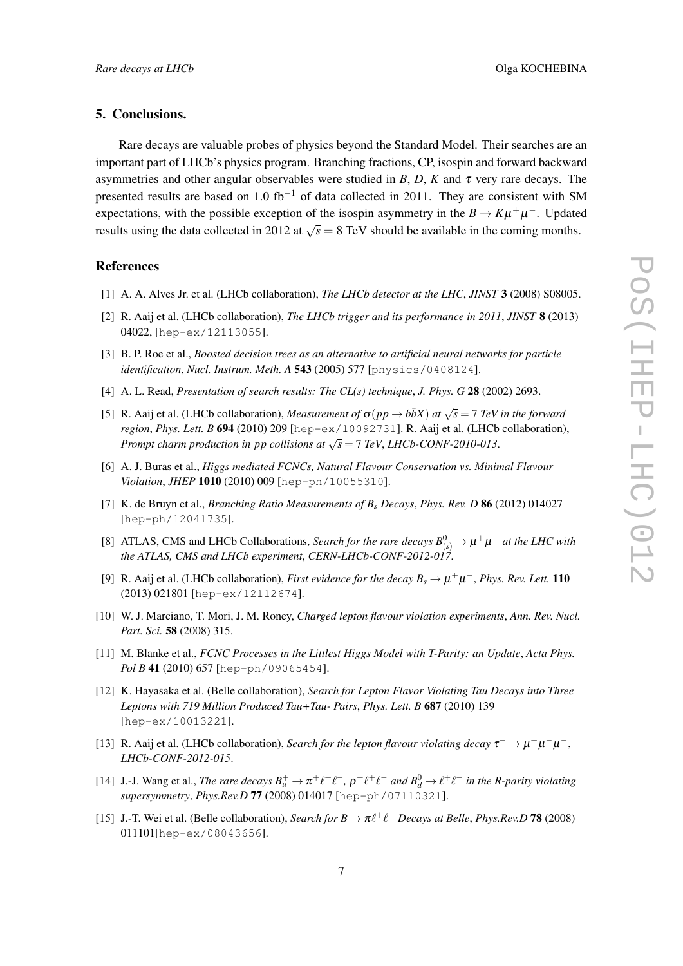#### <span id="page-6-0"></span>5. Conclusions.

Rare decays are valuable probes of physics beyond the Standard Model. Their searches are an important part of LHCb's physics program. Branching fractions, CP, isospin and forward backward asymmetries and other angular observables were studied in *B*, *D*, *K* and  $\tau$  very rare decays. The presented results are based on 1.0 fb<sup>-1</sup> of data collected in 2011. They are consistent with SM expectations, with the possible exception of the isospin asymmetry in the  $B \to K\mu^+\mu^-$ . Updated results using the data collected in 2012 at  $\sqrt{s} = 8$  TeV should be available in the coming months.

#### References

- [1] A. A. Alves Jr. et al. (LHCb collaboration), *The LHCb detector at the LHC*, *JINST* 3 (2008) S08005.
- [2] R. Aaij et al. (LHCb collaboration), *The LHCb trigger and its performance in 2011*, *JINST* 8 (2013) 04022, [hep-ex/12113055].
- [3] B. P. Roe et al., *Boosted decision trees as an alternative to artificial neural networks for particle identification*, *Nucl. Instrum. Meth. A* 543 (2005) 577 [physics/0408124].
- [4] A. L. Read, *Presentation of search results: The CL(s) technique*, *J. Phys. G* 28 (2002) 2693.
- [5] R. Aaij et al. (LHCb collaboration), *Measurement of*  $\sigma(pp \to b\bar{b}X)$  *at*  $\sqrt{s} = 7$  *TeV in the forward region*, *Phys. Lett. B* 694 (2010) 209 [hep-ex/10092731]. R. Aaij et al. (LHCb collaboration), *Prompt charm production in pp collisions at*  $\sqrt{s} = 7$  *TeV*, *LHCb-CONF-2010-013*.
- [6] A. J. Buras et al., *Higgs mediated FCNCs, Natural Flavour Conservation vs. Minimal Flavour Violation*, *JHEP* 1010 (2010) 009 [hep-ph/10055310].
- [7] K. de Bruyn et al., *Branching Ratio Measurements of B<sup>s</sup> Decays*, *Phys. Rev. D* 86 (2012) 014027 [hep-ph/12041735].
- [8] ATLAS, CMS and LHCb Collaborations, *Search for the rare decays*  $B^0_{(s)} \to \mu^+ \mu^-$  *at the LHC with the ATLAS, CMS and LHCb experiment*, *CERN-LHCb-CONF-2012-017*.
- [9] R. Aaij et al. (LHCb collaboration), *First evidence for the decay*  $B_s \to \mu^+\mu^-$ , *Phys. Rev. Lett.* 110 (2013) 021801 [hep-ex/12112674].
- [10] W. J. Marciano, T. Mori, J. M. Roney, *Charged lepton flavour violation experiments*, *Ann. Rev. Nucl. Part. Sci.* 58 (2008) 315.
- [11] M. Blanke et al., *FCNC Processes in the Littlest Higgs Model with T-Parity: an Update*, *Acta Phys. Pol B* 41 (2010) 657 [hep-ph/09065454].
- [12] K. Hayasaka et al. (Belle collaboration), *Search for Lepton Flavor Violating Tau Decays into Three Leptons with 719 Million Produced Tau+Tau- Pairs*, *Phys. Lett. B* 687 (2010) 139 [hep-ex/10013221].
- [13] R. Aaij et al. (LHCb collaboration), *Search for the lepton flavour violating decay*  $\tau^- \to \mu^+ \mu^- \mu^-$ , *LHCb-CONF-2012-015*.
- [14] J.-J. Wang et al., *The rare decays*  $B_u^+ \to \pi^+ \ell^+ \ell^-$ ,  $\rho^+ \ell^+ \ell^-$  and  $B_d^0 \to \ell^+ \ell^-$  in the R-parity violating *supersymmetry*, *Phys.Rev.D* 77 (2008) 014017 [hep-ph/07110321].
- [15] J.-T. Wei et al. (Belle collaboration), *Search for B*  $\rightarrow \pi \ell^+ \ell^-$  *Decays at Belle*, *Phys.Rev.D* 78 (2008) 011101[hep-ex/08043656].